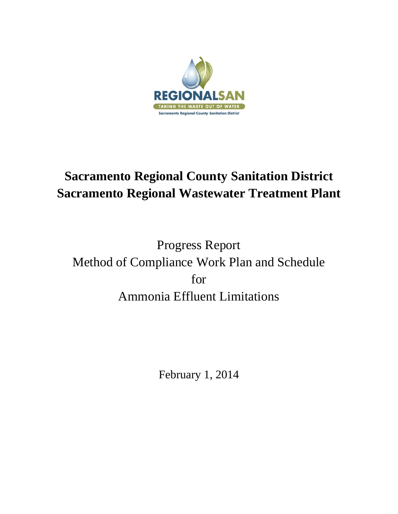

# **Sacramento Regional County Sanitation District Sacramento Regional Wastewater Treatment Plant**

Progress Report Method of Compliance Work Plan and Schedule for Ammonia Effluent Limitations

February 1, 2014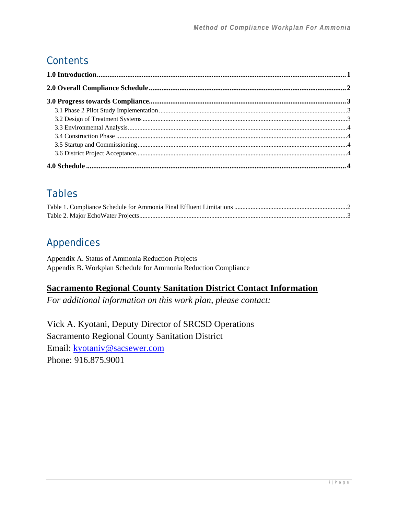## **Contents**

## Tables

## Appendices

Appendix A. Status of Ammonia Reduction Projects Appendix B. Workplan Schedule for Ammonia Reduction Compliance

## **Sacramento Regional County Sanitation District Contact Information**

*For additional information on this work plan, please contact:* 

Vick A. Kyotani, Deputy Director of SRCSD Operations Sacramento Regional County Sanitation District Email: kyotaniv@sacsewer.com Phone: 916.875.9001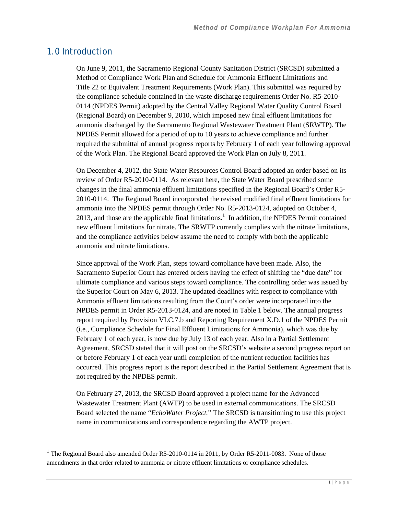### 1.0 Introduction

l

On June 9, 2011, the Sacramento Regional County Sanitation District (SRCSD) submitted a Method of Compliance Work Plan and Schedule for Ammonia Effluent Limitations and Title 22 or Equivalent Treatment Requirements (Work Plan). This submittal was required by the compliance schedule contained in the waste discharge requirements Order No. R5-2010- 0114 (NPDES Permit) adopted by the Central Valley Regional Water Quality Control Board (Regional Board) on December 9, 2010, which imposed new final effluent limitations for ammonia discharged by the Sacramento Regional Wastewater Treatment Plant (SRWTP). The NPDES Permit allowed for a period of up to 10 years to achieve compliance and further required the submittal of annual progress reports by February 1 of each year following approval of the Work Plan. The Regional Board approved the Work Plan on July 8, 2011.

On December 4, 2012, the State Water Resources Control Board adopted an order based on its review of Order R5-2010-0114. As relevant here, the State Water Board prescribed some changes in the final ammonia effluent limitations specified in the Regional Board's Order R5- 2010-0114. The Regional Board incorporated the revised modified final effluent limitations for ammonia into the NPDES permit through Order No. R5-2013-0124, adopted on October 4, 2013, and those are the applicable final limitations.<sup>1</sup> In addition, the NPDES Permit contained new effluent limitations for nitrate. The SRWTP currently complies with the nitrate limitations, and the compliance activities below assume the need to comply with both the applicable ammonia and nitrate limitations.

Since approval of the Work Plan, steps toward compliance have been made. Also, the Sacramento Superior Court has entered orders having the effect of shifting the "due date" for ultimate compliance and various steps toward compliance. The controlling order was issued by the Superior Court on May 6, 2013. The updated deadlines with respect to compliance with Ammonia effluent limitations resulting from the Court's order were incorporated into the NPDES permit in Order R5-2013-0124, and are noted in Table 1 below. The annual progress report required by Provision VI.C.7.b and Reporting Requirement X.D.1 of the NPDES Permit (i.e., Compliance Schedule for Final Effluent Limitations for Ammonia), which was due by February 1 of each year, is now due by July 13 of each year. Also in a Partial Settlement Agreement, SRCSD stated that it will post on the SRCSD's website a second progress report on or before February 1 of each year until completion of the nutrient reduction facilities has occurred. This progress report is the report described in the Partial Settlement Agreement that is not required by the NPDES permit.

On February 27, 2013, the SRCSD Board approved a project name for the Advanced Wastewater Treatment Plant (AWTP) to be used in external communications. The SRCSD Board selected the name "*EchoWater Project.*" The SRCSD is transitioning to use this project name in communications and correspondence regarding the AWTP project.

<sup>&</sup>lt;sup>1</sup> The Regional Board also amended Order R5-2010-0114 in 2011, by Order R5-2011-0083. None of those amendments in that order related to ammonia or nitrate effluent limitations or compliance schedules.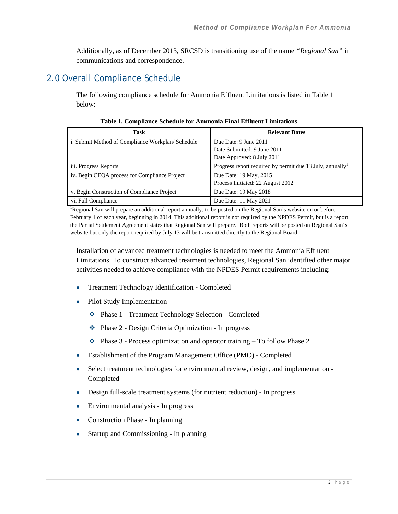Additionally, as of December 2013, SRCSD is transitioning use of the name *"Regional San"* in communications and correspondence.

## 2.0 Overall Compliance Schedule

The following compliance schedule for Ammonia Effluent Limitations is listed in Table 1 below:

| Task                                             | <b>Relevant Dates</b>                                                 |  |  |  |  |
|--------------------------------------------------|-----------------------------------------------------------------------|--|--|--|--|
| i. Submit Method of Compliance Workplan/Schedule | Due Date: 9 June 2011                                                 |  |  |  |  |
|                                                  | Date Submitted: 9 June 2011                                           |  |  |  |  |
|                                                  | Date Approved: 8 July 2011                                            |  |  |  |  |
| iii. Progress Reports                            | Progress report required by permit due 13 July, annually <sup>1</sup> |  |  |  |  |
| iv. Begin CEOA process for Compliance Project    | Due Date: 19 May, 2015                                                |  |  |  |  |
|                                                  | Process Initiated: 22 August 2012                                     |  |  |  |  |
| v. Begin Construction of Compliance Project      | Due Date: 19 May 2018                                                 |  |  |  |  |
| vi. Full Compliance                              | Due Date: 11 May 2021                                                 |  |  |  |  |

**Table 1. Compliance Schedule for Ammonia Final Effluent Limitations** 

<sup>1</sup>Regional San will prepare an additional report annually, to be posted on the Regional San's website on or before February 1 of each year, beginning in 2014. This additional report is not required by the NPDES Permit, but is a report the Partial Settlement Agreement states that Regional San will prepare. Both reports will be posted on Regional San's website but only the report required by July 13 will be transmitted directly to the Regional Board.

Installation of advanced treatment technologies is needed to meet the Ammonia Effluent Limitations. To construct advanced treatment technologies, Regional San identified other major activities needed to achieve compliance with the NPDES Permit requirements including:

- Treatment Technology Identification Completed
- Pilot Study Implementation
	- Phase 1 Treatment Technology Selection Completed
	- Phase 2 Design Criteria Optimization In progress
	- $\bullet$  Phase 3 Process optimization and operator training To follow Phase 2
- Establishment of the Program Management Office (PMO) Completed
- Select treatment technologies for environmental review, design, and implementation Completed
- Design full-scale treatment systems (for nutrient reduction) In progress
- Environmental analysis In progress
- Construction Phase In planning
- Startup and Commissioning In planning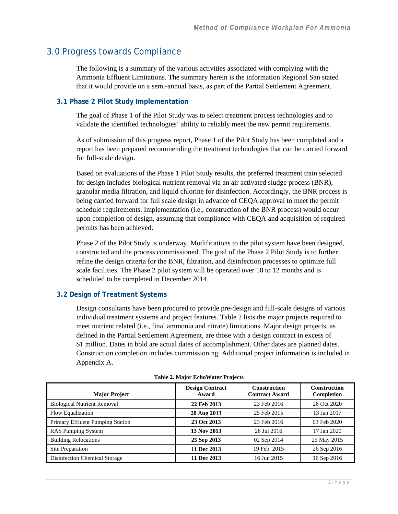### 3.0 Progress towards Compliance

The following is a summary of the various activities associated with complying with the Ammonia Effluent Limitations. The summary herein is the information Regional San stated that it would provide on a semi-annual basis, as part of the Partial Settlement Agreement.

#### **3.1 Phase 2 Pilot Study Implementation**

The goal of Phase 1 of the Pilot Study was to select treatment process technologies and to validate the identified technologies' ability to reliably meet the new permit requirements.

As of submission of this progress report, Phase 1 of the Pilot Study has been completed and a report has been prepared recommending the treatment technologies that can be carried forward for full-scale design.

Based on evaluations of the Phase 1 Pilot Study results, the preferred treatment train selected for design includes biological nutrient removal via an air activated sludge process (BNR), granular media filtration, and liquid chlorine for disinfection. Accordingly, the BNR process is being carried forward for full scale design in advance of CEQA approval to meet the permit schedule requirements. Implementation (i.e., construction of the BNR process) would occur upon completion of design, assuming that compliance with CEQA and acquisition of required permits has been achieved.

Phase 2 of the Pilot Study is underway. Modifications to the pilot system have been designed, constructed and the process commissioned. The goal of the Phase 2 Pilot Study is to further refine the design criteria for the BNR, filtration, and disinfection processes to optimize full scale facilities. The Phase 2 pilot system will be operated over 10 to 12 months and is scheduled to be completed in December 2014.

#### **3.2 Design of Treatment Systems**

Design consultants have been procured to provide pre-design and full-scale designs of various individual treatment systems and project features. Table 2 lists the major projects required to meet nutrient related (i.e., final ammonia and nitrate) limitations. Major design projects, as defined in the Partial Settlement Agreement, are those with a design contract in excess of \$1 million. Dates in bold are actual dates of accomplishment. Other dates are planned dates. Construction completion includes commissioning. Additional project information is included in Appendix A.

| <b>Major Project</b>               | <b>Design Contract</b><br>Award | <b>Construction</b><br><b>Contract Award</b> | <b>Construction</b><br>Completion |
|------------------------------------|---------------------------------|----------------------------------------------|-----------------------------------|
| <b>Biological Nutrient Removal</b> | 22 Feb 2013                     | 23 Feb 2016                                  | 26 Oct 2020                       |
| Flow Equalization                  | 28 Aug 2013                     | 25 Feb 2015                                  | 13 Jan 2017                       |
| Primary Effluent Pumping Station   | 23 Oct 2013                     | 23 Feb 2016                                  | 03 Feb 2020                       |
| <b>RAS Pumping System</b>          | 13 Nov 2013                     | 26 Jul 2016                                  | 17 Jan 2020                       |
| <b>Building Relocations</b>        | 25 Sep 2013                     | 02 Sep 2014                                  | 25 May 2015                       |
| Site Preparation                   | 11 Dec 2013                     | 19 Feb 2015                                  | 26 Sep 2016                       |
| Disinfection Chemical Storage      | 11 Dec 2013                     | 16 Jun 2015                                  | 16 Sep 2016                       |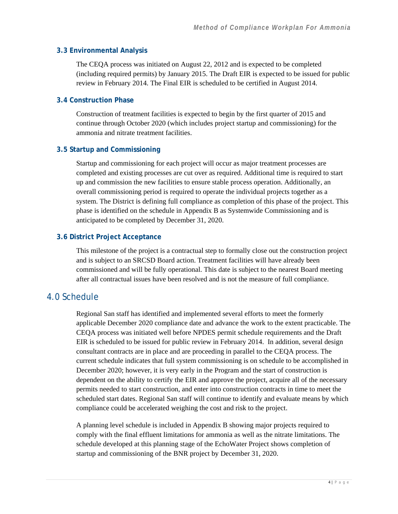#### **3.3 Environmental Analysis**

The CEQA process was initiated on August 22, 2012 and is expected to be completed (including required permits) by January 2015. The Draft EIR is expected to be issued for public review in February 2014. The Final EIR is scheduled to be certified in August 2014.

#### **3.4 Construction Phase**

Construction of treatment facilities is expected to begin by the first quarter of 2015 and continue through October 2020 (which includes project startup and commissioning) for the ammonia and nitrate treatment facilities.

#### **3.5 Startup and Commissioning**

Startup and commissioning for each project will occur as major treatment processes are completed and existing processes are cut over as required. Additional time is required to start up and commission the new facilities to ensure stable process operation. Additionally, an overall commissioning period is required to operate the individual projects together as a system. The District is defining full compliance as completion of this phase of the project. This phase is identified on the schedule in Appendix B as Systemwide Commissioning and is anticipated to be completed by December 31, 2020.

#### **3.6 District Project Acceptance**

This milestone of the project is a contractual step to formally close out the construction project and is subject to an SRCSD Board action. Treatment facilities will have already been commissioned and will be fully operational. This date is subject to the nearest Board meeting after all contractual issues have been resolved and is not the measure of full compliance.

## 4.0 Schedule

Regional San staff has identified and implemented several efforts to meet the formerly applicable December 2020 compliance date and advance the work to the extent practicable. The CEQA process was initiated well before NPDES permit schedule requirements and the Draft EIR is scheduled to be issued for public review in February 2014. In addition, several design consultant contracts are in place and are proceeding in parallel to the CEQA process. The current schedule indicates that full system commissioning is on schedule to be accomplished in December 2020; however, it is very early in the Program and the start of construction is dependent on the ability to certify the EIR and approve the project, acquire all of the necessary permits needed to start construction, and enter into construction contracts in time to meet the scheduled start dates. Regional San staff will continue to identify and evaluate means by which compliance could be accelerated weighing the cost and risk to the project.

A planning level schedule is included in Appendix B showing major projects required to comply with the final effluent limitations for ammonia as well as the nitrate limitations. The schedule developed at this planning stage of the EchoWater Project shows completion of startup and commissioning of the BNR project by December 31, 2020.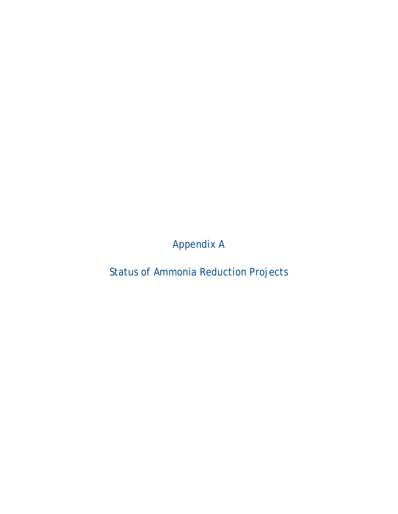Appendix A

Status of Ammonia Reduction Projects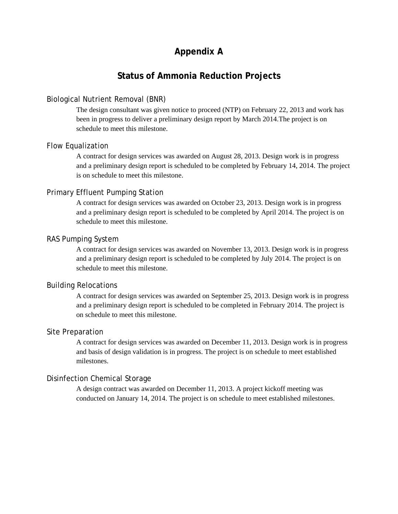## **Appendix A**

### **Status of Ammonia Reduction Projects**

#### Biological Nutrient Removal (BNR)

The design consultant was given notice to proceed (NTP) on February 22, 2013 and work has been in progress to deliver a preliminary design report by March 2014.The project is on schedule to meet this milestone.

#### Flow Equalization

A contract for design services was awarded on August 28, 2013. Design work is in progress and a preliminary design report is scheduled to be completed by February 14, 2014. The project is on schedule to meet this milestone.

#### Primary Effluent Pumping Station

A contract for design services was awarded on October 23, 2013. Design work is in progress and a preliminary design report is scheduled to be completed by April 2014. The project is on schedule to meet this milestone.

#### RAS Pumping System

A contract for design services was awarded on November 13, 2013. Design work is in progress and a preliminary design report is scheduled to be completed by July 2014. The project is on schedule to meet this milestone.

#### Building Relocations

A contract for design services was awarded on September 25, 2013. Design work is in progress and a preliminary design report is scheduled to be completed in February 2014. The project is on schedule to meet this milestone.

#### Site Preparation

A contract for design services was awarded on December 11, 2013. Design work is in progress and basis of design validation is in progress. The project is on schedule to meet established milestones.

#### Disinfection Chemical Storage

A design contract was awarded on December 11, 2013. A project kickoff meeting was conducted on January 14, 2014. The project is on schedule to meet established milestones.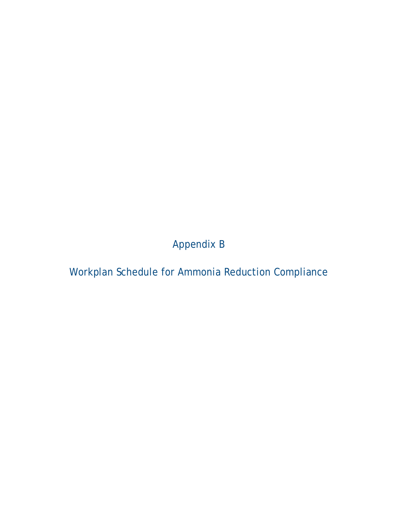Appendix B

Workplan Schedule for Ammonia Reduction Compliance